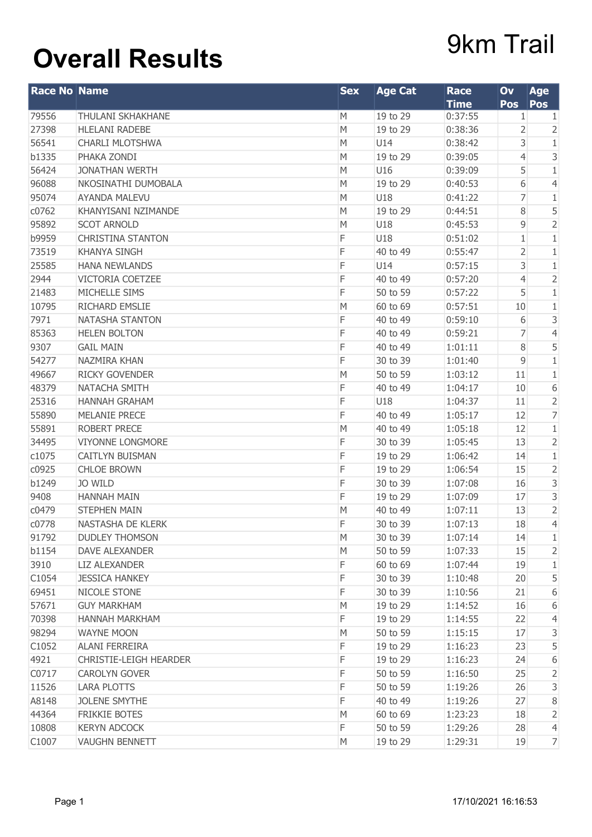## **Overall Results** 9km Trail

| <b>Race No Name</b> |                          | <b>Sex</b> | <b>Age Cat</b> | <b>Race</b><br><b>Time</b> | Ov<br><b>Pos</b> | <b>Age</b><br> Pos      |
|---------------------|--------------------------|------------|----------------|----------------------------|------------------|-------------------------|
| 79556               | THULANI SKHAKHANE        | M          | 19 to 29       | 0:37:55                    | $\mathbf{1}$     | $\mathbf{1}$            |
| 27398               | <b>HLELANI RADEBE</b>    | M          | 19 to 29       | 0:38:36                    | 2                | $\overline{2}$          |
| 56541               | <b>CHARLI MLOTSHWA</b>   | M          | U14            | 0:38:42                    | 3                | $\mathbf{1}$            |
| b1335               | PHAKA ZONDI              | M          | 19 to 29       | 0:39:05                    | 4                | 3                       |
| 56424               | <b>JONATHAN WERTH</b>    | M          | U16            | 0:39:09                    | 5                | 1                       |
| 96088               | NKOSINATHI DUMOBALA      | M          | 19 to 29       | 0:40:53                    | 6                | $\overline{4}$          |
| 95074               | <b>AYANDA MALEVU</b>     | M          | U18            | 0:41:22                    | 7                | 1                       |
| c0762               | KHANYISANI NZIMANDE      | M          | 19 to 29       | 0:44:51                    | 8                | 5                       |
| 95892               | <b>SCOT ARNOLD</b>       | M          | U18            | 0:45:53                    | 9                | $\overline{2}$          |
| b9959               | <b>CHRISTINA STANTON</b> | F          | U18            | 0:51:02                    | 1                | $\,1$                   |
| 73519               | <b>KHANYA SINGH</b>      | F          | 40 to 49       | 0:55:47                    | 2                | $1\,$                   |
| 25585               | <b>HANA NEWLANDS</b>     | F          | U14            | 0:57:15                    | 3                | $\mathbf{1}$            |
| 2944                | VICTORIA COETZEE         | F          | 40 to 49       | 0:57:20                    | 4                | $\overline{2}$          |
| 21483               | MICHELLE SIMS            | F          | 50 to 59       | 0:57:22                    | 5                | $1\,$                   |
| 10795               | RICHARD EMSLIE           | M          | 60 to 69       | 0:57:51                    | 10               | $1\,$                   |
| 7971                | <b>NATASHA STANTON</b>   | F          | 40 to 49       | 0:59:10                    | 6                | 3                       |
| 85363               | <b>HELEN BOLTON</b>      | F          | 40 to 49       | 0:59:21                    | 7                | $\overline{4}$          |
| 9307                | <b>GAIL MAIN</b>         | F          | 40 to 49       | 1:01:11                    | 8                | 5                       |
| 54277               | NAZMIRA KHAN             | F          | 30 to 39       | 1:01:40                    | 9                | $\overline{1}$          |
| 49667               | <b>RICKY GOVENDER</b>    | M          | 50 to 59       | 1:03:12                    | 11               | $\mathbf{1}$            |
| 48379               | NATACHA SMITH            | F          | 40 to 49       | 1:04:17                    | 10               | $\,$ 6 $\,$             |
| 25316               | <b>HANNAH GRAHAM</b>     | F          | U18            | 1:04:37                    | 11               | $\overline{2}$          |
| 55890               | <b>MELANIE PRECE</b>     | F          | 40 to 49       | 1:05:17                    | 12               | $\overline{7}$          |
| 55891               | <b>ROBERT PRECE</b>      | M          | 40 to 49       | 1:05:18                    | 12               | $1\,$                   |
| 34495               | <b>VIYONNE LONGMORE</b>  | F          | 30 to 39       | 1:05:45                    | 13               | $\overline{2}$          |
| c1075               | CAITLYN BUISMAN          | F          | 19 to 29       | 1:06:42                    | 14               | $\,1\,$                 |
| c0925               | <b>CHLOE BROWN</b>       | F          | 19 to 29       | 1:06:54                    | 15               | $\overline{2}$          |
| b1249               | <b>JO WILD</b>           | F          | 30 to 39       | 1:07:08                    | 16               | 3                       |
| 9408                | <b>HANNAH MAIN</b>       | F          | 19 to 29       | 1:07:09                    | 17               | $\overline{\mathbf{3}}$ |
| c0479               | <b>STEPHEN MAIN</b>      | M          | 40 to 49       | 1:07:11                    | 13               | $\overline{2}$          |
| c0778               | NASTASHA DE KLERK        | F          | 30 to 39       | 1:07:13                    | 18               | $\overline{4}$          |
| 91792               | <b>DUDLEY THOMSON</b>    | M          | 30 to 39       | 1:07:14                    | 14               | $\mathbf{1}$            |
| b1154               | DAVE ALEXANDER           | M          | 50 to 59       | 1:07:33                    | 15               | $\overline{2}$          |
| 3910                | <b>LIZ ALEXANDER</b>     | F          | 60 to 69       | 1:07:44                    | 19               | $\mathbf{1}$            |
| C1054               | <b>JESSICA HANKEY</b>    | F          | 30 to 39       | 1:10:48                    | 20               | 5                       |
| 69451               | NICOLE STONE             | F          | 30 to 39       | 1:10:56                    | 21               | 6                       |
| 57671               | <b>GUY MARKHAM</b>       | M          | 19 to 29       | 1:14:52                    | 16               | 6                       |
| 70398               | HANNAH MARKHAM           | F          | 19 to 29       | 1:14:55                    | 22               | 4                       |
| 98294               | <b>WAYNE MOON</b>        | M          | 50 to 59       | 1:15:15                    | 17               | $\mathsf{3}$            |
| C1052               | <b>ALANI FERREIRA</b>    | F          | 19 to 29       | 1:16:23                    | 23               | 5                       |
| 4921                | CHRISTIE-LEIGH HEARDER   | F          | 19 to 29       | 1:16:23                    | 24               | 6                       |
| C0717               | <b>CAROLYN GOVER</b>     | F          | 50 to 59       | 1:16:50                    | 25               | $\overline{2}$          |
| 11526               | <b>LARA PLOTTS</b>       | F          | 50 to 59       | 1:19:26                    | 26               | 3                       |
| A8148               | <b>JOLENE SMYTHE</b>     | F          | 40 to 49       | 1:19:26                    | 27               | $\,8\,$                 |
| 44364               | FRIKKIE BOTES            | M          | 60 to 69       | 1:23:23                    | 18               | $\overline{2}$          |
| 10808               | <b>KERYN ADCOCK</b>      | F          | 50 to 59       | 1:29:26                    | 28               | $\overline{4}$          |
| C1007               | <b>VAUGHN BENNETT</b>    | M          | 19 to 29       | 1:29:31                    | 19               | $\overline{7}$          |